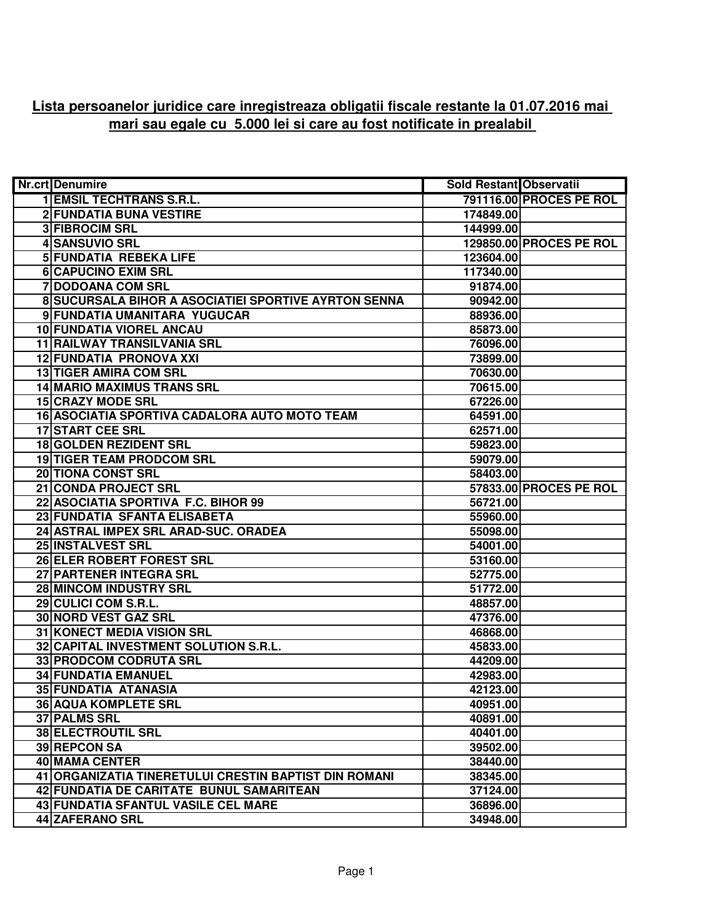## **Lista persoanelor juridice care inregistreaza obligatii fiscale restante la 01.07.2016 mai mari sau egale cu 5.000 lei si care au fost notificate in prealabil**

| <b>Nr.crt</b> Denumire                                | <b>Sold Restant Observatii</b> |                         |
|-------------------------------------------------------|--------------------------------|-------------------------|
| <b>1 EMSIL TECHTRANS S.R.L.</b>                       |                                | 791116.00 PROCES PE ROL |
| <b>2 FUNDATIA BUNA VESTIRE</b>                        | 174849.00                      |                         |
| <b>3 FIBROCIM SRL</b>                                 | 144999.00                      |                         |
| 4 SANSUVIO SRL                                        |                                | 129850.00 PROCES PE ROL |
| <b>5 FUNDATIA REBEKA LIFE</b>                         | 123604.00                      |                         |
| <b>6 CAPUCINO EXIM SRL</b>                            | 117340.00                      |                         |
| 7 DODOANA COM SRL                                     | 91874.00                       |                         |
| 8 SUCURSALA BIHOR A ASOCIATIEI SPORTIVE AYRTON SENNA  | 90942.00                       |                         |
| 9 FUNDATIA UMANITARA YUGUCAR                          | 88936.00                       |                         |
| 10 FUNDATIA VIOREL ANCAU                              | 85873.00                       |                         |
| <b>11 RAILWAY TRANSILVANIA SRL</b>                    | 76096.00                       |                         |
| 12 FUNDATIA PRONOVA XXI                               | 73899.00                       |                         |
| 13 TIGER AMIRA COM SRL                                | 70630.00                       |                         |
| <b>14 MARIO MAXIMUS TRANS SRL</b>                     | 70615.00                       |                         |
| <b>15 CRAZY MODE SRL</b>                              | 67226.00                       |                         |
| 16 ASOCIATIA SPORTIVA CADALORA AUTO MOTO TEAM         | 64591.00                       |                         |
| <b>17 START CEE SRL</b>                               | 62571.00                       |                         |
| 18 GOLDEN REZIDENT SRL                                | 59823.00                       |                         |
| <b>19 TIGER TEAM PRODCOM SRL</b>                      | 59079.00                       |                         |
| <b>20 TIONA CONST SRL</b>                             | 58403.00                       |                         |
| 21 CONDA PROJECT SRL                                  |                                | 57833.00 PROCES PE ROL  |
| 22 ASOCIATIA SPORTIVA F.C. BIHOR 99                   | 56721.00                       |                         |
| 23 FUNDATIA SFANTA ELISABETA                          | 55960.00                       |                         |
| 24 ASTRAL IMPEX SRL ARAD-SUC. ORADEA                  | 55098.00                       |                         |
| 25 INSTALVEST SRL                                     | 54001.00                       |                         |
| 26 ELER ROBERT FOREST SRL                             | 53160.00                       |                         |
| 27 PARTENER INTEGRA SRL                               | 52775.00                       |                         |
| 28 MINCOM INDUSTRY SRL                                | 51772.00                       |                         |
| 29 CULICI COM S.R.L.                                  | 48857.00                       |                         |
| 30 NORD VEST GAZ SRL                                  | 47376.00                       |                         |
| 31 KONECT MEDIA VISION SRL                            | 46868.00                       |                         |
| 32 CAPITAL INVESTMENT SOLUTION S.R.L.                 | 45833.00                       |                         |
| 33 PRODCOM CODRUTA SRL                                | 44209.00                       |                         |
| <b>34 FUNDATIA EMANUEL</b>                            | 42983.00                       |                         |
| 35 FUNDATIA ATANASIA                                  | 42123.00                       |                         |
| <b>36 AQUA KOMPLETE SRL</b>                           | 40951.00                       |                         |
| 37 PALMS SRL                                          | 40891.00                       |                         |
| <b>38 ELECTROUTIL SRL</b>                             | 40401.00                       |                         |
| 39 REPCON SA                                          | 39502.00                       |                         |
| 40 MAMA CENTER                                        | 38440.00                       |                         |
| 41 ORGANIZATIA TINERETULUI CRESTIN BAPTIST DIN ROMANI | 38345.00                       |                         |
| 42 FUNDATIA DE CARITATE BUNUL SAMARITEAN              | 37124.00                       |                         |
| 43 FUNDATIA SFANTUL VASILE CEL MARE                   | 36896.00                       |                         |
| <b>44 ZAFERANO SRL</b>                                | 34948.00                       |                         |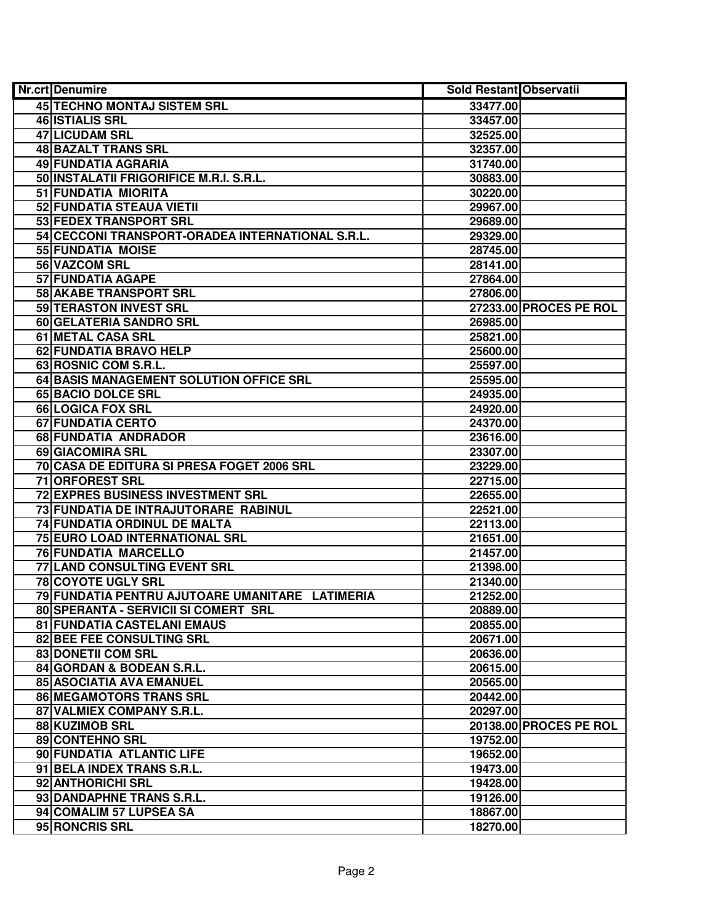| Nr.crt Denumire                                  | Sold Restant Observatii |                        |
|--------------------------------------------------|-------------------------|------------------------|
| 45 TECHNO MONTAJ SISTEM SRL                      | 33477.00                |                        |
| 46 ISTIALIS SRL                                  | 33457.00                |                        |
| 47 LICUDAM SRL                                   | 32525.00                |                        |
| 48 BAZALT TRANS SRL                              | 32357.00                |                        |
| 49 FUNDATIA AGRARIA                              | 31740.00                |                        |
| 50 INSTALATII FRIGORIFICE M.R.I. S.R.L.          | 30883.00                |                        |
| 51 FUNDATIA MIORITA                              | 30220.00                |                        |
| 52 FUNDATIA STEAUA VIETII                        | 29967.00                |                        |
| 53 FEDEX TRANSPORT SRL                           | 29689.00                |                        |
| 54 CECCONI TRANSPORT-ORADEA INTERNATIONAL S.R.L. | 29329.00                |                        |
| 55 FUNDATIA MOISE                                | 28745.00                |                        |
| 56 VAZCOM SRL                                    | 28141.00                |                        |
| <b>57 FUNDATIA AGAPE</b>                         | 27864.00                |                        |
| <b>58 AKABE TRANSPORT SRL</b>                    | 27806.00                |                        |
| 59 TERASTON INVEST SRL                           |                         | 27233.00 PROCES PE ROL |
| 60 GELATERIA SANDRO SRL                          | 26985.00                |                        |
| 61 METAL CASA SRL                                | 25821.00                |                        |
| 62 FUNDATIA BRAVO HELP                           | 25600.00                |                        |
| 63 ROSNIC COM S.R.L.                             | 25597.00                |                        |
| 64 BASIS MANAGEMENT SOLUTION OFFICE SRL          | 25595.00                |                        |
| 65 BACIO DOLCE SRL                               | 24935.00                |                        |
| 66 LOGICA FOX SRL                                | 24920.00                |                        |
| 67 FUNDATIA CERTO                                | 24370.00                |                        |
| 68 FUNDATIA ANDRADOR                             | 23616.00                |                        |
| 69 GIACOMIRA SRL                                 | 23307.00                |                        |
| 70 CASA DE EDITURA SI PRESA FOGET 2006 SRL       | 23229.00                |                        |
| 71 ORFOREST SRL                                  | 22715.00                |                        |
| 72 EXPRES BUSINESS INVESTMENT SRL                | 22655.00                |                        |
| 73 FUNDATIA DE INTRAJUTORARE RABINUL             | 22521.00                |                        |
| 74 FUNDATIA ORDINUL DE MALTA                     | 22113.00                |                        |
| 75 EURO LOAD INTERNATIONAL SRL                   | 21651.00                |                        |
| 76 FUNDATIA MARCELLO                             | 21457.00                |                        |
| 77 LAND CONSULTING EVENT SRL                     | 21398.00                |                        |
| 78 COYOTE UGLY SRL                               | 21340.00                |                        |
| 79 FUNDATIA PENTRU AJUTOARE UMANITARE LATIMERIA  | 21252.00                |                        |
| 80 SPERANTA - SERVICII SI COMERT SRL             | 20889.00                |                        |
| 81 FUNDATIA CASTELANI EMAUS                      | 20855.00                |                        |
| 82 BEE FEE CONSULTING SRL                        | 20671.00                |                        |
| 83 DONETII COM SRL                               | 20636.00                |                        |
| 84 GORDAN & BODEAN S.R.L.                        | 20615.00                |                        |
| 85 ASOCIATIA AVA EMANUEL                         | 20565.00                |                        |
| 86 MEGAMOTORS TRANS SRL                          | 20442.00                |                        |
| 87 VALMIEX COMPANY S.R.L.                        | 20297.00                |                        |
| 88 KUZIMOB SRL                                   |                         | 20138.00 PROCES PE ROL |
| 89 CONTEHNO SRL                                  | 19752.00                |                        |
| 90 FUNDATIA ATLANTIC LIFE                        | 19652.00                |                        |
| 91 BELA INDEX TRANS S.R.L.                       | 19473.00                |                        |
| 92 ANTHORICHI SRL                                | 19428.00                |                        |
| 93 DANDAPHNE TRANS S.R.L.                        | 19126.00                |                        |
| 94 COMALIM 57 LUPSEA SA                          | 18867.00                |                        |
| 95 RONCRIS SRL                                   | 18270.00                |                        |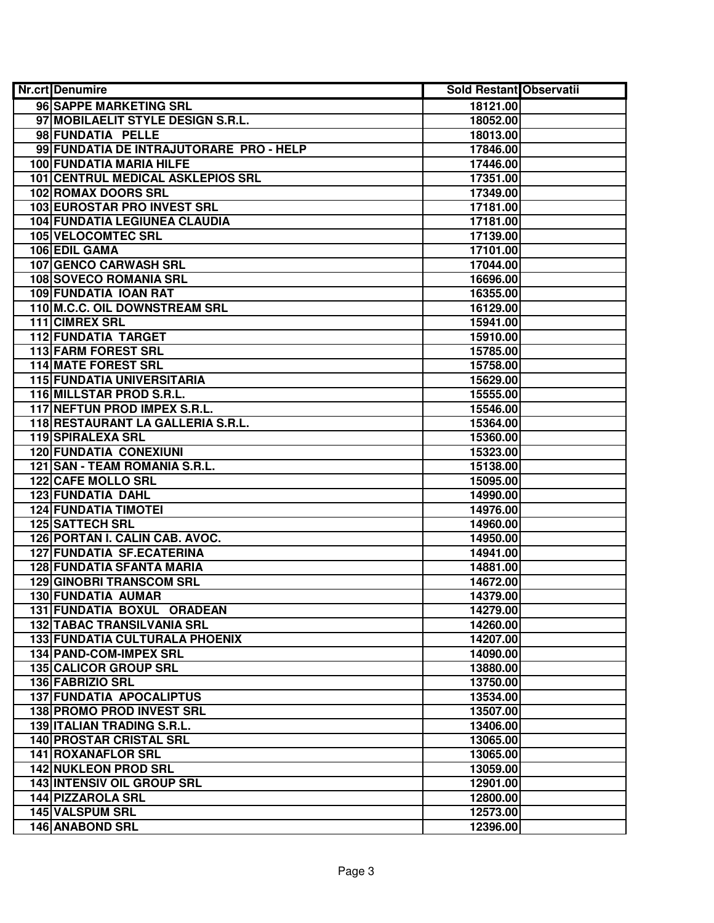| <b>Nr.crt</b> Denumire                  | <b>Sold Restant Observatii</b> |  |
|-----------------------------------------|--------------------------------|--|
| 96 SAPPE MARKETING SRL                  | 18121.00                       |  |
| 97 MOBILAELIT STYLE DESIGN S.R.L.       | 18052.00                       |  |
| 98 FUNDATIA PELLE                       | 18013.00                       |  |
| 99 FUNDATIA DE INTRAJUTORARE PRO - HELP | 17846.00                       |  |
| 100 FUNDATIA MARIA HILFE                | 17446.00                       |  |
| 101 CENTRUL MEDICAL ASKLEPIOS SRL       | 17351.00                       |  |
| 102 ROMAX DOORS SRL                     | 17349.00                       |  |
| 103 EUROSTAR PRO INVEST SRL             | 17181.00                       |  |
| <b>104 FUNDATIA LEGIUNEA CLAUDIA</b>    | 17181.00                       |  |
| <b>105 VELOCOMTEC SRL</b>               | 17139.00                       |  |
| 106 EDIL GAMA                           | 17101.00                       |  |
| 107 GENCO CARWASH SRL                   | 17044.00                       |  |
| <b>108 SOVECO ROMANIA SRL</b>           | 16696.00                       |  |
| 109 FUNDATIA IOAN RAT                   | 16355.00                       |  |
| 110 M.C.C. OIL DOWNSTREAM SRL           | 16129.00                       |  |
| 111 CIMREX SRL                          | 15941.00                       |  |
| <b>112 FUNDATIA TARGET</b>              | 15910.00                       |  |
| <b>113 FARM FOREST SRL</b>              | 15785.00                       |  |
| <b>114 MATE FOREST SRL</b>              | 15758.00                       |  |
| <b>115 FUNDATIA UNIVERSITARIA</b>       | 15629.00                       |  |
| 116 MILLSTAR PROD S.R.L.                | 15555.00                       |  |
| 117 NEFTUN PROD IMPEX S.R.L.            | 15546.00                       |  |
| 118 RESTAURANT LA GALLERIA S.R.L.       | 15364.00                       |  |
| 119 SPIRALEXA SRL                       | 15360.00                       |  |
| <b>120 FUNDATIA CONEXIUNI</b>           | 15323.00                       |  |
| 121 SAN - TEAM ROMANIA S.R.L.           | 15138.00                       |  |
| <b>122 CAFE MOLLO SRL</b>               | 15095.00                       |  |
| 123 FUNDATIA DAHL                       | 14990.00                       |  |
| <b>124 FUNDATIA TIMOTEI</b>             | 14976.00                       |  |
| <b>125 SATTECH SRL</b>                  | 14960.00                       |  |
| 126 PORTAN I. CALIN CAB. AVOC.          | 14950.00                       |  |
| <b>127 FUNDATIA SF.ECATERINA</b>        | 14941.00                       |  |
| <b>128 FUNDATIA SFANTA MARIA</b>        | 14881.00                       |  |
| <b>129 GINOBRI TRANSCOM SRL</b>         | 14672.00                       |  |
| <b>130 FUNDATIA AUMAR</b>               | 14379.00                       |  |
| 131 FUNDATIA BOXUL ORADEAN              | 14279.00                       |  |
| <b>132 TABAC TRANSILVANIA SRL</b>       | 14260.00                       |  |
| <b>133 FUNDATIA CULTURALA PHOENIX</b>   | 14207.00                       |  |
| 134 PAND-COM-IMPEX SRL                  | 14090.00                       |  |
| 135 CALICOR GROUP SRL                   | 13880.00                       |  |
| <b>136 FABRIZIO SRL</b>                 | 13750.00                       |  |
| 137 FUNDATIA APOCALIPTUS                | 13534.00                       |  |
| 138 PROMO PROD INVEST SRL               | 13507.00                       |  |
| 139 ITALIAN TRADING S.R.L.              | 13406.00                       |  |
| <b>140 PROSTAR CRISTAL SRL</b>          | 13065.00                       |  |
| <b>141 ROXANAFLOR SRL</b>               | 13065.00                       |  |
| <b>142 NUKLEON PROD SRL</b>             | 13059.00                       |  |
| <b>143 INTENSIV OIL GROUP SRL</b>       | 12901.00                       |  |
| 144 PIZZAROLA SRL                       | 12800.00                       |  |
| 145 VALSPUM SRL                         | 12573.00                       |  |
| 146 ANABOND SRL                         | 12396.00                       |  |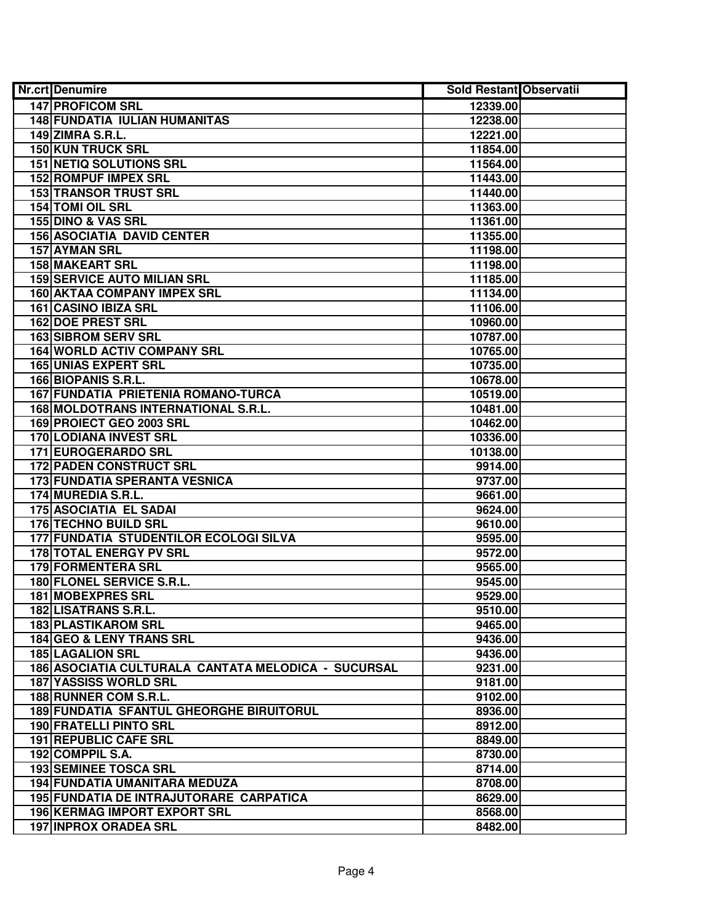| <b>Nr.crt</b> Denumire                              | Sold Restant Observatii |
|-----------------------------------------------------|-------------------------|
| <b>147 PROFICOM SRL</b>                             | 12339.00                |
| <b>148 FUNDATIA IULIAN HUMANITAS</b>                | 12238.00                |
| <b>149 ZIMRA S.R.L.</b>                             | 12221.00                |
| <b>150 KUN TRUCK SRL</b>                            | 11854.00                |
| <b>151 NETIQ SOLUTIONS SRL</b>                      | 11564.00                |
| <b>152 ROMPUF IMPEX SRL</b>                         | 11443.00                |
| <b>153 TRANSOR TRUST SRL</b>                        | 11440.00                |
| 154 TOMI OIL SRL                                    | 11363.00                |
| 155 DINO & VAS SRL                                  | 11361.00                |
| <b>156 ASOCIATIA DAVID CENTER</b>                   | 11355.00                |
| <b>157 AYMAN SRL</b>                                | 11198.00                |
| <b>158 MAKEART SRL</b>                              | 11198.00                |
| <b>159 SERVICE AUTO MILIAN SRL</b>                  | 11185.00                |
| <b>160 AKTAA COMPANY IMPEX SRL</b>                  | 11134.00                |
| 161 CASINO IBIZA SRL                                | 11106.00                |
| <b>162 DOE PREST SRL</b>                            | 10960.00                |
| <b>163 SIBROM SERV SRL</b>                          | 10787.00                |
| <b>164 WORLD ACTIV COMPANY SRL</b>                  | 10765.00                |
| <b>165 UNIAS EXPERT SRL</b>                         | 10735.00                |
| 166 BIOPANIS S.R.L.                                 | 10678.00                |
| 167 FUNDATIA PRIETENIA ROMANO-TURCA                 | 10519.00                |
| 168 MOLDOTRANS INTERNATIONAL S.R.L.                 | 10481.00                |
| 169 PROIECT GEO 2003 SRL                            | 10462.00                |
| <b>170 LODIANA INVEST SRL</b>                       | 10336.00                |
| 171 EUROGERARDO SRL                                 | 10138.00                |
| 172 PADEN CONSTRUCT SRL                             | 9914.00                 |
| 173 FUNDATIA SPERANTA VESNICA                       | 9737.00                 |
| 174 MUREDIA S.R.L.                                  | 9661.00                 |
| <b>175 ASOCIATIA EL SADAI</b>                       | 9624.00                 |
| 176 TECHNO BUILD SRL                                | 9610.00                 |
| 177 FUNDATIA STUDENTILOR ECOLOGI SILVA              | 9595.00                 |
| <b>178 TOTAL ENERGY PV SRL</b>                      | 9572.00                 |
| <b>179 FORMENTERA SRL</b>                           | 9565.00                 |
| 180 FLONEL SERVICE S.R.L.                           | 9545.00                 |
| 181 MOBEXPRES SRL                                   | 9529.00                 |
| 182 LISATRANS S.R.L.                                | 9510.00                 |
| <b>183 PLASTIKAROM SRL</b>                          | 9465.00                 |
| 184 GEO & LENY TRANS SRL                            | 9436.00                 |
| <b>185 LAGALION SRL</b>                             | 9436.00                 |
| 186 ASOCIATIA CULTURALA CANTATA MELODICA - SUCURSAL | 9231.00                 |
| <b>187 YASSISS WORLD SRL</b>                        | 9181.00                 |
| 188 RUNNER COM S.R.L.                               | 9102.00                 |
| 189 FUNDATIA SFANTUL GHEORGHE BIRUITORUL            | 8936.00                 |
| <b>190 FRATELLI PINTO SRL</b>                       | 8912.00                 |
| 191 REPUBLIC CAFE SRL                               | 8849.00                 |
| 192 COMPPIL S.A.                                    | 8730.00                 |
| <b>193 SEMINEE TOSCA SRL</b>                        | 8714.00                 |
| 194 FUNDATIA UMANITARA MEDUZA                       | 8708.00                 |
| 195 FUNDATIA DE INTRAJUTORARE CARPATICA             | 8629.00                 |
| 196 KERMAG IMPORT EXPORT SRL                        | 8568.00                 |
| <b>197 INPROX ORADEA SRL</b>                        | 8482.00                 |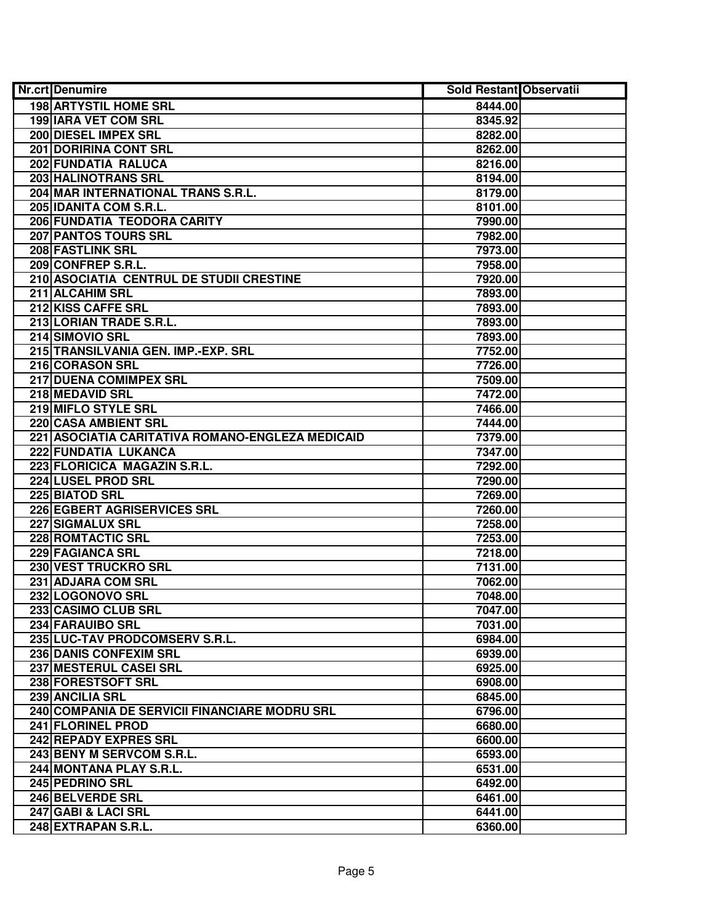| <b>Nr.crt</b> Denumire                           | <b>Sold Restant Observatii</b> |  |
|--------------------------------------------------|--------------------------------|--|
| <b>198 ARTYSTIL HOME SRL</b>                     | 8444.00                        |  |
| 199 IARA VET COM SRL                             | 8345.92                        |  |
| 200 DIESEL IMPEX SRL                             | 8282.00                        |  |
| <b>201 DORIRINA CONT SRL</b>                     | 8262.00                        |  |
| 202 FUNDATIA RALUCA                              | 8216.00                        |  |
| 203 HALINOTRANS SRL                              | 8194.00                        |  |
| 204 MAR INTERNATIONAL TRANS S.R.L.               | 8179.00                        |  |
| 205 IDANITA COM S.R.L.                           | 8101.00                        |  |
| 206 FUNDATIA TEODORA CARITY                      | 7990.00                        |  |
| 207 PANTOS TOURS SRL                             | 7982.00                        |  |
| <b>208 FASTLINK SRL</b>                          | 7973.00                        |  |
| 209 CONFREP S.R.L.                               | 7958.00                        |  |
| 210 ASOCIATIA CENTRUL DE STUDII CRESTINE         | 7920.00                        |  |
| 211 ALCAHIM SRL                                  | 7893.00                        |  |
| 212 KISS CAFFE SRL                               | 7893.00                        |  |
| 213 LORIAN TRADE S.R.L.                          | 7893.00                        |  |
| 214 SIMOVIO SRL                                  | 7893.00                        |  |
| 215 TRANSILVANIA GEN. IMP.-EXP. SRL              | 7752.00                        |  |
| 216 CORASON SRL                                  | 7726.00                        |  |
| 217 DUENA COMIMPEX SRL                           | 7509.00                        |  |
| 218 MEDAVID SRL                                  | 7472.00                        |  |
| 219 MIFLO STYLE SRL                              | 7466.00                        |  |
| 220 CASA AMBIENT SRL                             | 7444.00                        |  |
| 221 ASOCIATIA CARITATIVA ROMANO-ENGLEZA MEDICAID | 7379.00                        |  |
| 222 FUNDATIA LUKANCA                             | 7347.00                        |  |
| 223 FLORICICA MAGAZIN S.R.L.                     | 7292.00                        |  |
| 224 LUSEL PROD SRL                               | 7290.00                        |  |
| 225 BIATOD SRL                                   | 7269.00                        |  |
| 226 EGBERT AGRISERVICES SRL                      | 7260.00                        |  |
| 227 SIGMALUX SRL                                 | 7258.00                        |  |
| <b>228 ROMTACTIC SRL</b>                         | 7253.00                        |  |
| 229 FAGIANCA SRL                                 | 7218.00                        |  |
| 230 VEST TRUCKRO SRL                             | 7131.00                        |  |
| 231 ADJARA COM SRL                               | 7062.00                        |  |
| 232 LOGONOVO SRL                                 | 7048.00                        |  |
| 233 CASIMO CLUB SRL                              | 7047.00                        |  |
| 234 FARAUIBO SRL                                 | 7031.00                        |  |
| 235 LUC-TAV PRODCOMSERV S.R.L.                   | 6984.00                        |  |
| <b>236 DANIS CONFEXIM SRL</b>                    | 6939.00                        |  |
| 237 MESTERUL CASEI SRL                           | 6925.00                        |  |
| 238 FORESTSOFT SRL                               | 6908.00                        |  |
| <b>239 ANCILIA SRL</b>                           | 6845.00                        |  |
| 240 COMPANIA DE SERVICII FINANCIARE MODRU SRL    | 6796.00                        |  |
| 241 FLORINEL PROD                                | 6680.00                        |  |
| 242 REPADY EXPRES SRL                            | 6600.00                        |  |
| 243 BENY M SERVCOM S.R.L.                        | 6593.00                        |  |
| 244 MONTANA PLAY S.R.L.                          | 6531.00                        |  |
| 245 PEDRINO SRL                                  | 6492.00                        |  |
| 246 BELVERDE SRL                                 | 6461.00                        |  |
| 247 GABI & LACI SRL                              | 6441.00                        |  |
| 248 EXTRAPAN S.R.L.                              | 6360.00                        |  |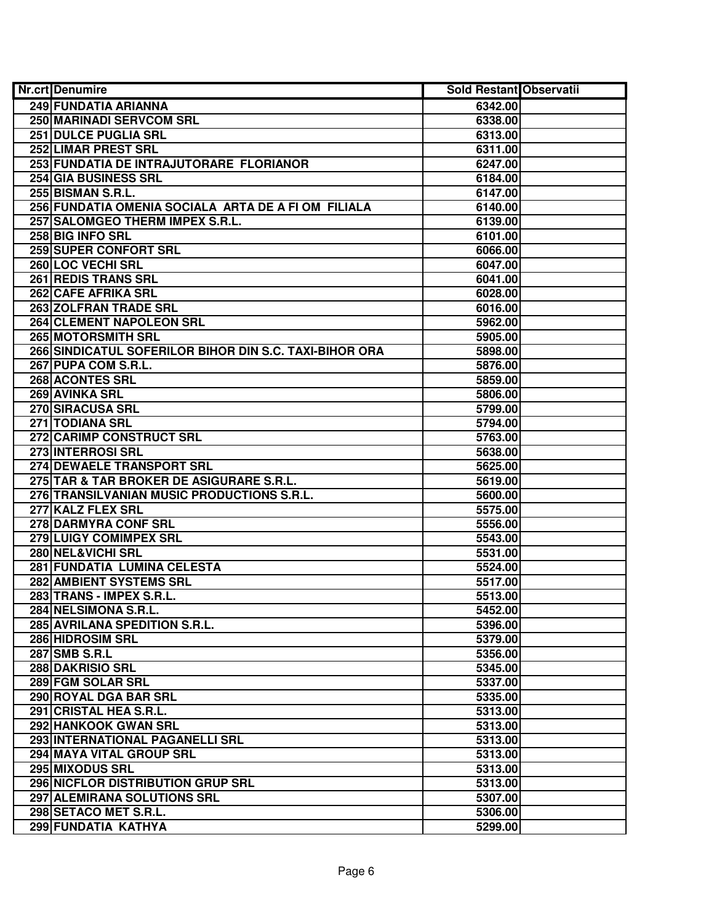| 249 FUNDATIA ARIANNA<br>6342.00<br>250 MARINADI SERVCOM SRL<br>6338.00<br>251 DULCE PUGLIA SRL<br>6313.00<br>252 LIMAR PREST SRL<br>6311.00<br>253 FUNDATIA DE INTRAJUTORARE FLORIANOR<br>6247.00<br>254 GIA BUSINESS SRL<br>6184.00<br>255 BISMAN S.R.L.<br>6147.00<br>256 FUNDATIA OMENIA SOCIALA ARTA DE A FI OM FILIALA<br>6140.00<br>257 SALOMGEO THERM IMPEX S.R.L.<br>6139.00<br>258 BIG INFO SRL<br>6101.00<br><b>259 SUPER CONFORT SRL</b><br>6066.00<br>260 LOC VECHI SRL<br>6047.00<br>261 REDIS TRANS SRL<br>6041.00<br>262 CAFE AFRIKA SRL<br>6028.00<br>263 ZOLFRAN TRADE SRL<br>6016.00<br>264 CLEMENT NAPOLEON SRL<br>5962.00<br>265 MOTORSMITH SRL<br>5905.00<br>266 SINDICATUL SOFERILOR BIHOR DIN S.C. TAXI-BIHOR ORA<br>5898.00<br>267 PUPA COM S.R.L.<br>5876.00<br>268 ACONTES SRL<br>5859.00<br>269 AVINKA SRL<br>5806.00<br>270 SIRACUSA SRL<br>5799.00<br>271 TODIANA SRL<br>5794.00<br>272 CARIMP CONSTRUCT SRL<br>5763.00<br>273 INTERROSI SRL<br>5638.00<br>274 DEWAELE TRANSPORT SRL<br>5625.00<br>275 TAR & TAR BROKER DE ASIGURARE S.R.L.<br>5619.00<br>276 TRANSILVANIAN MUSIC PRODUCTIONS S.R.L.<br>5600.00<br>277 KALZ FLEX SRL<br>5575.00<br>278 DARMYRA CONF SRL<br>5556.00<br>279 LUIGY COMIMPEX SRL<br>5543.00<br>280 NEL&VICHI SRL<br>5531.00<br>281 FUNDATIA LUMINA CELESTA<br>5524.00<br><b>282 AMBIENT SYSTEMS SRL</b><br>5517.00<br>283 TRANS - IMPEX S.R.L.<br>5513.00<br>284 NELSIMONA S.R.L.<br>5452.00<br>285 AVRILANA SPEDITION S.R.L.<br>5396.00<br>286 HIDROSIM SRL<br>5379.00<br>287 SMB S.R.L<br>5356.00<br>288 DAKRISIO SRL<br>5345.00<br>289 FGM SOLAR SRL<br>5337.00<br>290 ROYAL DGA BAR SRL<br>5335.00<br>291 CRISTAL HEA S.R.L.<br>5313.00<br>292 HANKOOK GWAN SRL<br>5313.00<br>293 INTERNATIONAL PAGANELLI SRL<br>5313.00<br>294 MAYA VITAL GROUP SRL<br>5313.00<br>295 MIXODUS SRL<br>5313.00<br>296 NICFLOR DISTRIBUTION GRUP SRL<br>5313.00<br>297 ALEMIRANA SOLUTIONS SRL<br>5307.00<br>298 SETACO MET S.R.L.<br>5306.00 | <b>Nr.crt</b> Denumire | <b>Sold Restant Observatii</b> |  |
|------------------------------------------------------------------------------------------------------------------------------------------------------------------------------------------------------------------------------------------------------------------------------------------------------------------------------------------------------------------------------------------------------------------------------------------------------------------------------------------------------------------------------------------------------------------------------------------------------------------------------------------------------------------------------------------------------------------------------------------------------------------------------------------------------------------------------------------------------------------------------------------------------------------------------------------------------------------------------------------------------------------------------------------------------------------------------------------------------------------------------------------------------------------------------------------------------------------------------------------------------------------------------------------------------------------------------------------------------------------------------------------------------------------------------------------------------------------------------------------------------------------------------------------------------------------------------------------------------------------------------------------------------------------------------------------------------------------------------------------------------------------------------------------------------------------------------------------------------------------------------------------------------------------------------------------------------------------------------------------|------------------------|--------------------------------|--|
|                                                                                                                                                                                                                                                                                                                                                                                                                                                                                                                                                                                                                                                                                                                                                                                                                                                                                                                                                                                                                                                                                                                                                                                                                                                                                                                                                                                                                                                                                                                                                                                                                                                                                                                                                                                                                                                                                                                                                                                          |                        |                                |  |
|                                                                                                                                                                                                                                                                                                                                                                                                                                                                                                                                                                                                                                                                                                                                                                                                                                                                                                                                                                                                                                                                                                                                                                                                                                                                                                                                                                                                                                                                                                                                                                                                                                                                                                                                                                                                                                                                                                                                                                                          |                        |                                |  |
|                                                                                                                                                                                                                                                                                                                                                                                                                                                                                                                                                                                                                                                                                                                                                                                                                                                                                                                                                                                                                                                                                                                                                                                                                                                                                                                                                                                                                                                                                                                                                                                                                                                                                                                                                                                                                                                                                                                                                                                          |                        |                                |  |
|                                                                                                                                                                                                                                                                                                                                                                                                                                                                                                                                                                                                                                                                                                                                                                                                                                                                                                                                                                                                                                                                                                                                                                                                                                                                                                                                                                                                                                                                                                                                                                                                                                                                                                                                                                                                                                                                                                                                                                                          |                        |                                |  |
|                                                                                                                                                                                                                                                                                                                                                                                                                                                                                                                                                                                                                                                                                                                                                                                                                                                                                                                                                                                                                                                                                                                                                                                                                                                                                                                                                                                                                                                                                                                                                                                                                                                                                                                                                                                                                                                                                                                                                                                          |                        |                                |  |
|                                                                                                                                                                                                                                                                                                                                                                                                                                                                                                                                                                                                                                                                                                                                                                                                                                                                                                                                                                                                                                                                                                                                                                                                                                                                                                                                                                                                                                                                                                                                                                                                                                                                                                                                                                                                                                                                                                                                                                                          |                        |                                |  |
|                                                                                                                                                                                                                                                                                                                                                                                                                                                                                                                                                                                                                                                                                                                                                                                                                                                                                                                                                                                                                                                                                                                                                                                                                                                                                                                                                                                                                                                                                                                                                                                                                                                                                                                                                                                                                                                                                                                                                                                          |                        |                                |  |
|                                                                                                                                                                                                                                                                                                                                                                                                                                                                                                                                                                                                                                                                                                                                                                                                                                                                                                                                                                                                                                                                                                                                                                                                                                                                                                                                                                                                                                                                                                                                                                                                                                                                                                                                                                                                                                                                                                                                                                                          |                        |                                |  |
|                                                                                                                                                                                                                                                                                                                                                                                                                                                                                                                                                                                                                                                                                                                                                                                                                                                                                                                                                                                                                                                                                                                                                                                                                                                                                                                                                                                                                                                                                                                                                                                                                                                                                                                                                                                                                                                                                                                                                                                          |                        |                                |  |
|                                                                                                                                                                                                                                                                                                                                                                                                                                                                                                                                                                                                                                                                                                                                                                                                                                                                                                                                                                                                                                                                                                                                                                                                                                                                                                                                                                                                                                                                                                                                                                                                                                                                                                                                                                                                                                                                                                                                                                                          |                        |                                |  |
|                                                                                                                                                                                                                                                                                                                                                                                                                                                                                                                                                                                                                                                                                                                                                                                                                                                                                                                                                                                                                                                                                                                                                                                                                                                                                                                                                                                                                                                                                                                                                                                                                                                                                                                                                                                                                                                                                                                                                                                          |                        |                                |  |
|                                                                                                                                                                                                                                                                                                                                                                                                                                                                                                                                                                                                                                                                                                                                                                                                                                                                                                                                                                                                                                                                                                                                                                                                                                                                                                                                                                                                                                                                                                                                                                                                                                                                                                                                                                                                                                                                                                                                                                                          |                        |                                |  |
|                                                                                                                                                                                                                                                                                                                                                                                                                                                                                                                                                                                                                                                                                                                                                                                                                                                                                                                                                                                                                                                                                                                                                                                                                                                                                                                                                                                                                                                                                                                                                                                                                                                                                                                                                                                                                                                                                                                                                                                          |                        |                                |  |
|                                                                                                                                                                                                                                                                                                                                                                                                                                                                                                                                                                                                                                                                                                                                                                                                                                                                                                                                                                                                                                                                                                                                                                                                                                                                                                                                                                                                                                                                                                                                                                                                                                                                                                                                                                                                                                                                                                                                                                                          |                        |                                |  |
|                                                                                                                                                                                                                                                                                                                                                                                                                                                                                                                                                                                                                                                                                                                                                                                                                                                                                                                                                                                                                                                                                                                                                                                                                                                                                                                                                                                                                                                                                                                                                                                                                                                                                                                                                                                                                                                                                                                                                                                          |                        |                                |  |
|                                                                                                                                                                                                                                                                                                                                                                                                                                                                                                                                                                                                                                                                                                                                                                                                                                                                                                                                                                                                                                                                                                                                                                                                                                                                                                                                                                                                                                                                                                                                                                                                                                                                                                                                                                                                                                                                                                                                                                                          |                        |                                |  |
|                                                                                                                                                                                                                                                                                                                                                                                                                                                                                                                                                                                                                                                                                                                                                                                                                                                                                                                                                                                                                                                                                                                                                                                                                                                                                                                                                                                                                                                                                                                                                                                                                                                                                                                                                                                                                                                                                                                                                                                          |                        |                                |  |
|                                                                                                                                                                                                                                                                                                                                                                                                                                                                                                                                                                                                                                                                                                                                                                                                                                                                                                                                                                                                                                                                                                                                                                                                                                                                                                                                                                                                                                                                                                                                                                                                                                                                                                                                                                                                                                                                                                                                                                                          |                        |                                |  |
|                                                                                                                                                                                                                                                                                                                                                                                                                                                                                                                                                                                                                                                                                                                                                                                                                                                                                                                                                                                                                                                                                                                                                                                                                                                                                                                                                                                                                                                                                                                                                                                                                                                                                                                                                                                                                                                                                                                                                                                          |                        |                                |  |
|                                                                                                                                                                                                                                                                                                                                                                                                                                                                                                                                                                                                                                                                                                                                                                                                                                                                                                                                                                                                                                                                                                                                                                                                                                                                                                                                                                                                                                                                                                                                                                                                                                                                                                                                                                                                                                                                                                                                                                                          |                        |                                |  |
|                                                                                                                                                                                                                                                                                                                                                                                                                                                                                                                                                                                                                                                                                                                                                                                                                                                                                                                                                                                                                                                                                                                                                                                                                                                                                                                                                                                                                                                                                                                                                                                                                                                                                                                                                                                                                                                                                                                                                                                          |                        |                                |  |
|                                                                                                                                                                                                                                                                                                                                                                                                                                                                                                                                                                                                                                                                                                                                                                                                                                                                                                                                                                                                                                                                                                                                                                                                                                                                                                                                                                                                                                                                                                                                                                                                                                                                                                                                                                                                                                                                                                                                                                                          |                        |                                |  |
|                                                                                                                                                                                                                                                                                                                                                                                                                                                                                                                                                                                                                                                                                                                                                                                                                                                                                                                                                                                                                                                                                                                                                                                                                                                                                                                                                                                                                                                                                                                                                                                                                                                                                                                                                                                                                                                                                                                                                                                          |                        |                                |  |
|                                                                                                                                                                                                                                                                                                                                                                                                                                                                                                                                                                                                                                                                                                                                                                                                                                                                                                                                                                                                                                                                                                                                                                                                                                                                                                                                                                                                                                                                                                                                                                                                                                                                                                                                                                                                                                                                                                                                                                                          |                        |                                |  |
|                                                                                                                                                                                                                                                                                                                                                                                                                                                                                                                                                                                                                                                                                                                                                                                                                                                                                                                                                                                                                                                                                                                                                                                                                                                                                                                                                                                                                                                                                                                                                                                                                                                                                                                                                                                                                                                                                                                                                                                          |                        |                                |  |
|                                                                                                                                                                                                                                                                                                                                                                                                                                                                                                                                                                                                                                                                                                                                                                                                                                                                                                                                                                                                                                                                                                                                                                                                                                                                                                                                                                                                                                                                                                                                                                                                                                                                                                                                                                                                                                                                                                                                                                                          |                        |                                |  |
|                                                                                                                                                                                                                                                                                                                                                                                                                                                                                                                                                                                                                                                                                                                                                                                                                                                                                                                                                                                                                                                                                                                                                                                                                                                                                                                                                                                                                                                                                                                                                                                                                                                                                                                                                                                                                                                                                                                                                                                          |                        |                                |  |
|                                                                                                                                                                                                                                                                                                                                                                                                                                                                                                                                                                                                                                                                                                                                                                                                                                                                                                                                                                                                                                                                                                                                                                                                                                                                                                                                                                                                                                                                                                                                                                                                                                                                                                                                                                                                                                                                                                                                                                                          |                        |                                |  |
|                                                                                                                                                                                                                                                                                                                                                                                                                                                                                                                                                                                                                                                                                                                                                                                                                                                                                                                                                                                                                                                                                                                                                                                                                                                                                                                                                                                                                                                                                                                                                                                                                                                                                                                                                                                                                                                                                                                                                                                          |                        |                                |  |
|                                                                                                                                                                                                                                                                                                                                                                                                                                                                                                                                                                                                                                                                                                                                                                                                                                                                                                                                                                                                                                                                                                                                                                                                                                                                                                                                                                                                                                                                                                                                                                                                                                                                                                                                                                                                                                                                                                                                                                                          |                        |                                |  |
|                                                                                                                                                                                                                                                                                                                                                                                                                                                                                                                                                                                                                                                                                                                                                                                                                                                                                                                                                                                                                                                                                                                                                                                                                                                                                                                                                                                                                                                                                                                                                                                                                                                                                                                                                                                                                                                                                                                                                                                          |                        |                                |  |
|                                                                                                                                                                                                                                                                                                                                                                                                                                                                                                                                                                                                                                                                                                                                                                                                                                                                                                                                                                                                                                                                                                                                                                                                                                                                                                                                                                                                                                                                                                                                                                                                                                                                                                                                                                                                                                                                                                                                                                                          |                        |                                |  |
|                                                                                                                                                                                                                                                                                                                                                                                                                                                                                                                                                                                                                                                                                                                                                                                                                                                                                                                                                                                                                                                                                                                                                                                                                                                                                                                                                                                                                                                                                                                                                                                                                                                                                                                                                                                                                                                                                                                                                                                          |                        |                                |  |
|                                                                                                                                                                                                                                                                                                                                                                                                                                                                                                                                                                                                                                                                                                                                                                                                                                                                                                                                                                                                                                                                                                                                                                                                                                                                                                                                                                                                                                                                                                                                                                                                                                                                                                                                                                                                                                                                                                                                                                                          |                        |                                |  |
|                                                                                                                                                                                                                                                                                                                                                                                                                                                                                                                                                                                                                                                                                                                                                                                                                                                                                                                                                                                                                                                                                                                                                                                                                                                                                                                                                                                                                                                                                                                                                                                                                                                                                                                                                                                                                                                                                                                                                                                          |                        |                                |  |
|                                                                                                                                                                                                                                                                                                                                                                                                                                                                                                                                                                                                                                                                                                                                                                                                                                                                                                                                                                                                                                                                                                                                                                                                                                                                                                                                                                                                                                                                                                                                                                                                                                                                                                                                                                                                                                                                                                                                                                                          |                        |                                |  |
|                                                                                                                                                                                                                                                                                                                                                                                                                                                                                                                                                                                                                                                                                                                                                                                                                                                                                                                                                                                                                                                                                                                                                                                                                                                                                                                                                                                                                                                                                                                                                                                                                                                                                                                                                                                                                                                                                                                                                                                          |                        |                                |  |
|                                                                                                                                                                                                                                                                                                                                                                                                                                                                                                                                                                                                                                                                                                                                                                                                                                                                                                                                                                                                                                                                                                                                                                                                                                                                                                                                                                                                                                                                                                                                                                                                                                                                                                                                                                                                                                                                                                                                                                                          |                        |                                |  |
|                                                                                                                                                                                                                                                                                                                                                                                                                                                                                                                                                                                                                                                                                                                                                                                                                                                                                                                                                                                                                                                                                                                                                                                                                                                                                                                                                                                                                                                                                                                                                                                                                                                                                                                                                                                                                                                                                                                                                                                          |                        |                                |  |
|                                                                                                                                                                                                                                                                                                                                                                                                                                                                                                                                                                                                                                                                                                                                                                                                                                                                                                                                                                                                                                                                                                                                                                                                                                                                                                                                                                                                                                                                                                                                                                                                                                                                                                                                                                                                                                                                                                                                                                                          |                        |                                |  |
|                                                                                                                                                                                                                                                                                                                                                                                                                                                                                                                                                                                                                                                                                                                                                                                                                                                                                                                                                                                                                                                                                                                                                                                                                                                                                                                                                                                                                                                                                                                                                                                                                                                                                                                                                                                                                                                                                                                                                                                          |                        |                                |  |
|                                                                                                                                                                                                                                                                                                                                                                                                                                                                                                                                                                                                                                                                                                                                                                                                                                                                                                                                                                                                                                                                                                                                                                                                                                                                                                                                                                                                                                                                                                                                                                                                                                                                                                                                                                                                                                                                                                                                                                                          |                        |                                |  |
|                                                                                                                                                                                                                                                                                                                                                                                                                                                                                                                                                                                                                                                                                                                                                                                                                                                                                                                                                                                                                                                                                                                                                                                                                                                                                                                                                                                                                                                                                                                                                                                                                                                                                                                                                                                                                                                                                                                                                                                          |                        |                                |  |
|                                                                                                                                                                                                                                                                                                                                                                                                                                                                                                                                                                                                                                                                                                                                                                                                                                                                                                                                                                                                                                                                                                                                                                                                                                                                                                                                                                                                                                                                                                                                                                                                                                                                                                                                                                                                                                                                                                                                                                                          |                        |                                |  |
|                                                                                                                                                                                                                                                                                                                                                                                                                                                                                                                                                                                                                                                                                                                                                                                                                                                                                                                                                                                                                                                                                                                                                                                                                                                                                                                                                                                                                                                                                                                                                                                                                                                                                                                                                                                                                                                                                                                                                                                          |                        |                                |  |
|                                                                                                                                                                                                                                                                                                                                                                                                                                                                                                                                                                                                                                                                                                                                                                                                                                                                                                                                                                                                                                                                                                                                                                                                                                                                                                                                                                                                                                                                                                                                                                                                                                                                                                                                                                                                                                                                                                                                                                                          |                        |                                |  |
|                                                                                                                                                                                                                                                                                                                                                                                                                                                                                                                                                                                                                                                                                                                                                                                                                                                                                                                                                                                                                                                                                                                                                                                                                                                                                                                                                                                                                                                                                                                                                                                                                                                                                                                                                                                                                                                                                                                                                                                          |                        |                                |  |
|                                                                                                                                                                                                                                                                                                                                                                                                                                                                                                                                                                                                                                                                                                                                                                                                                                                                                                                                                                                                                                                                                                                                                                                                                                                                                                                                                                                                                                                                                                                                                                                                                                                                                                                                                                                                                                                                                                                                                                                          |                        |                                |  |
|                                                                                                                                                                                                                                                                                                                                                                                                                                                                                                                                                                                                                                                                                                                                                                                                                                                                                                                                                                                                                                                                                                                                                                                                                                                                                                                                                                                                                                                                                                                                                                                                                                                                                                                                                                                                                                                                                                                                                                                          |                        |                                |  |
|                                                                                                                                                                                                                                                                                                                                                                                                                                                                                                                                                                                                                                                                                                                                                                                                                                                                                                                                                                                                                                                                                                                                                                                                                                                                                                                                                                                                                                                                                                                                                                                                                                                                                                                                                                                                                                                                                                                                                                                          |                        |                                |  |
|                                                                                                                                                                                                                                                                                                                                                                                                                                                                                                                                                                                                                                                                                                                                                                                                                                                                                                                                                                                                                                                                                                                                                                                                                                                                                                                                                                                                                                                                                                                                                                                                                                                                                                                                                                                                                                                                                                                                                                                          | 299 FUNDATIA KATHYA    | 5299.00                        |  |